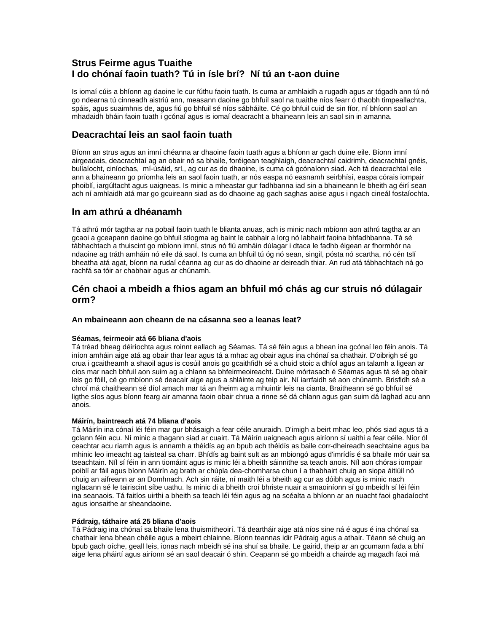# **Strus Feirme agus Tuaithe I do chónaí faoin tuath? Tú in ísle brí? Ní tú an t-aon duine**

Is iomaí cúis a bhíonn ag daoine le cur fúthu faoin tuath. Is cuma ar amhlaidh a rugadh agus ar tógadh ann tú nó go ndearna tú cinneadh aistriú ann, measann daoine go bhfuil saol na tuaithe níos fearr ó thaobh timpeallachta, spáis, agus suaimhnis de, agus fiú go bhfuil sé níos sábháilte. Cé go bhfuil cuid de sin fíor, ní bhíonn saol an mhadaidh bháin faoin tuath i gcónaí agus is iomaí deacracht a bhaineann leis an saol sin in amanna.

# **Deacrachtaí leis an saol faoin tuath**

Bíonn an strus agus an imní chéanna ar dhaoine faoin tuath agus a bhíonn ar gach duine eile. Bíonn imní airgeadais, deacrachtaí ag an obair nó sa bhaile, foréigean teaghlaigh, deacrachtaí caidrimh, deacrachtaí gnéis, bullaíocht, ciníochas, mí-úsáid, srl., ag cur as do dhaoine, is cuma cá gcónaíonn siad. Ach tá deacrachtaí eile ann a bhaineann go príomha leis an saol faoin tuath, ar nós easpa nó easnamh seirbhísí, easpa córais iompair phoiblí, iargúltacht agus uaigneas. Is minic a mheastar gur fadhbanna iad sin a bhaineann le bheith ag éirí sean ach ní amhlaidh atá mar go gcuireann siad as do dhaoine ag gach saghas aoise agus i ngach cineál fostaíochta.

### **In am athrú a dhéanamh**

Tá athrú mór tagtha ar na pobail faoin tuath le blianta anuas, ach is minic nach mbíonn aon athrú tagtha ar an gcaoi a gceapann daoine go bhfuil stiogma ag baint le cabhair a lorg nó labhairt faoina bhfadhbanna. Tá sé tábhachtach a thuiscint go mbíonn imní, strus nó fiú amháin dúlagar i dtaca le fadhb éigean ar fhormhór na ndaoine ag tráth amháin nó eile dá saol. Is cuma an bhfuil tú óg nó sean, singil, pósta nó scartha, nó cén tslí bheatha atá agat, bíonn na rudaí céanna ag cur as do dhaoine ar deireadh thiar. An rud atá tábhachtach ná go rachfá sa tóir ar chabhair agus ar chúnamh.

# **Cén chaoi a mbeidh a fhios agam an bhfuil mó chás ag cur struis nó dúlagair orm?**

### **An mbaineann aon cheann de na cásanna seo a leanas leat?**

### **Séamas, feirmeoir atá 66 bliana d'aois**

Tá tréad bheag déiríochta agus roinnt eallach ag Séamas. Tá sé féin agus a bhean ina gcónaí leo féin anois. Tá iníon amháin aige atá ag obair thar lear agus tá a mhac ag obair agus ina chónaí sa chathair. D'oibrigh sé go crua i gcaitheamh a shaoil agus is cosúil anois go gcaithfidh sé a chuid stoic a dhíol agus an talamh a ligean ar cíos mar nach bhfuil aon suim ag a chlann sa bhfeirmeoireacht. Duine mórtasach é Séamas agus tá sé ag obair leis go fóill, cé go mbíonn sé deacair aige agus a shláinte ag teip air. Ní iarrfaidh sé aon chúnamh. Brisfidh sé a chroí má chaitheann sé díol amach mar tá an fheirm ag a mhuintir leis na cianta. Braitheann sé go bhfuil sé ligthe síos agus bíonn fearg air amanna faoin obair chrua a rinne sé dá chlann agus gan suim dá laghad acu ann anois.

### **Máirín, baintreach atá 74 bliana d'aois**

Tá Máirín ina cónaí léi féin mar gur bhásaigh a fear céile anuraidh. D'imigh a beirt mhac leo, phós siad agus tá a gclann féin acu. Ní minic a thagann siad ar cuairt. Tá Máirín uaigneach agus airíonn sí uaithi a fear céile. Níor ól ceachtar acu riamh agus is annamh a théidís ag an bpub ach théidís as baile corr-dheireadh seachtaine agus ba mhinic leo imeacht ag taisteal sa charr. Bhídís ag baint sult as an mbiongó agus d'imrídís é sa bhaile mór uair sa tseachtain. Níl sí féin in ann tiomáint agus is minic léi a bheith sáinnithe sa teach anois. Níl aon chóras iompair poiblí ar fáil agus bíonn Máirín ag brath ar chúpla dea-chomharsa chun í a thabhairt chuig an siopa áitiúil nó chuig an aifreann ar an Domhnach. Ach sin ráite, ní maith léi a bheith ag cur as dóibh agus is minic nach nglacann sé le tairiscint síbe uathu. Is minic di a bheith croí bhriste nuair a smaoiníonn sí go mbeidh sí léi féin ina seanaois. Tá faitíos uirthi a bheith sa teach léi féin agus ag na scéalta a bhíonn ar an nuacht faoi ghadaíocht agus ionsaithe ar sheandaoine.

### **Pádraig, táthaire atá 25 bliana d'aois**

Tá Pádraig ina chónaí sa bhaile lena thuismitheoirí. Tá deartháir aige atá níos sine ná é agus é ina chónaí sa chathair lena bhean chéile agus a mbeirt chlainne. Bíonn teannas idir Pádraig agus a athair. Téann sé chuig an bpub gach oíche, geall leis, ionas nach mbeidh sé ina shuí sa bhaile. Le gairid, theip ar an gcumann fada a bhí aige lena pháirtí agus airíonn sé an saol deacair ó shin. Ceapann sé go mbeidh a chairde ag magadh faoi má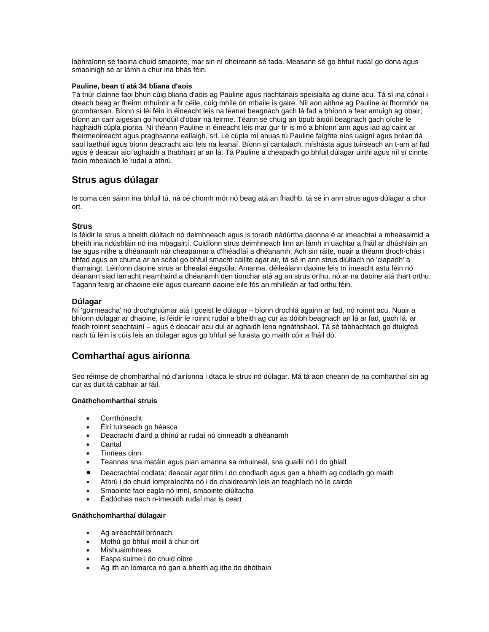labhraíonn sé faoina chuid smaointe, mar sin ní dheireann sé tada. Measann sé go bhfuil rudaí go dona agus smaoinigh sé ar lámh a chur ina bhás féin.

### **Pauline, bean tí atá 34 bliana d'aois**

Tá triúr clainne faoi bhun cúig bliana d'aois ag Pauline agus riachtanais speisialta ag duine acu. Tá sí ina cónaí i dteach beag ar fheirm mhuintir a fir céile, cúig mhíle ón mbaile is gaire. Níl aon aithne ag Pauline ar fhormhór na gcomharsan. Bíonn sí léi féin in éineacht leis na leanaí beagnach gach lá fad a bhíonn a fear amuigh ag obair; bíonn an carr aigesan go hiondúil d'obair na feirme. Téann sé chuig an bpub áitiúil beagnach gach oíche le haghaidh cúpla pionta. Ní théann Pauline in éineacht leis mar gur fir is mó a bhíonn ann agus iad ag caint ar fheirmeoireacht agus praghsanna eallaigh, srl. Le cúpla mí anuas tú Pauline faighte níos uaigní agus bréan dá saol laethúil agus bíonn deacracht aici leis na leanaí. Bíonn sí cantalach, míshásta agus tuirseach an t-am ar fad agus é deacair aici aghaidh a thabhairt ar an lá. Tá Pauline a cheapadh go bhfuil dúlagar uirthi agus níl sí cinnte faoin mbealach le rudaí a athrú.

# **Strus agus dúlagar**

Is cuma cén sáinn ina bhfuil tú, ná cé chomh mór nó beag atá an fhadhb, tá sé in ann strus agus dúlagar a chur ort.

### **Strus**

Is féidir le strus a bheith diúltach nó deimhneach agus is toradh nádúrtha daonna é ar imeachtaí a mheasaimid a bheith ina ndúshláin nó ina mbagairtí. Cuidíonn strus deimhneach linn an lámh in uachtar a fháil ar dhúshláin an lae agus nithe a dhéanamh nár cheapamar a d'fhéadfaí a dhéanamh. Ach sin ráite, nuair a théann droch-chás i bhfad agus an chuma ar an scéal go bhfuil smacht caillte agat air, tá sé in ann strus diúltach nó 'ciapadh' a tharraingt. Léiríonn daoine strus ar bhealaí éagsúla. Amanna, déileálann daoine leis trí imeacht astu féin nó déanann siad iarracht neamhaird a dhéanamh den tionchar atá ag an strus orthu, nó ar na daoine atá thart orthu. Tagann fearg ar dhaoine eile agus cuireann daoine eile fós an mhilleán ar fad orthu féin.

### **Dúlagar**

Ní 'goirmeacha' nó drochghiúmar atá i gceist le dúlagar – bíonn drochlá againn ar fad, nó roinnt acu. Nuair a bhíonn dúlagar ar dhaoine, is féidir le roinnt rudaí a bheith ag cur as dóibh beagnach an lá ar fad, gach lá, ar feadh roinnt seachtainí – agus é deacair acu dul ar aghaidh lena ngnáthshaol. Tá sé tábhachtach go dtuigfeá nach tú féin is cúis leis an dúlagar agus go bhfuil sé furasta go maith cóir a fháil dó.

# **Comharthaí agus airíonna**

Seo réimse de chomharthaí nó d'airíonna i dtaca le strus nó dúlagar. Má tá aon cheann de na comharthaí sin ag cur as duit tá cabhair ar fáil.

### **Gnáthchomharthaí struis**

- Corrthónacht
- Éirí tuirseach go héasca
- Deacracht d'aird a dhíriú ar rudaí nó cinneadh a dhéanamh
- **Cantal**
- Tinneas cinn
- Teannas sna matáin agus pian amanna sa mhuineál, sna guaillí nó i do ghiall
- Deacrachtaí codlata: deacair agat titim i do chodladh agus gan a bheith ag codladh go maith
- Athrú i do chuid iompraíochta nó i do chaidreamh leis an teaghlach nó le cairde
- Smaointe faoi eagla nó imní, smaointe diúltacha
- Éadóchas nach n-imeoidh rudaí mar is ceart

### **Gnáthchomharthaí dúlagair**

- Ag aireachtáil brónach
- Mothú go bhfuil moill á chur ort
- Míshuaimhneas
- Easpa suime i do chuid oibre
- Ag ith an iomarca nó gan a bheith ag ithe do dhóthain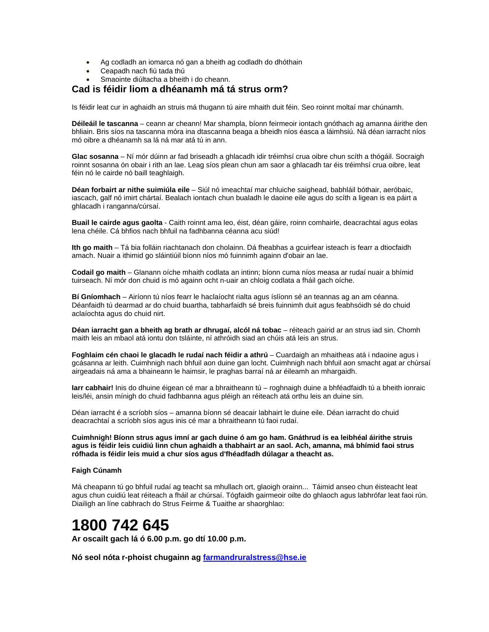- Ag codladh an iomarca nó gan a bheith ag codladh do dhóthain
- Ceapadh nach fiú tada thú
- Smaointe diúltacha a bheith i do cheann.

### **Cad is féidir liom a dhéanamh má tá strus orm?**

Is féidir leat cur in aghaidh an struis má thugann tú aire mhaith duit féin. Seo roinnt moltaí mar chúnamh.

**Déileáil le tascanna** – ceann ar cheann! Mar shampla, bíonn feirmeoir iontach gnóthach ag amanna áirithe den bhliain. Bris síos na tascanna móra ina dtascanna beaga a bheidh níos éasca a láimhsiú. Ná déan iarracht níos mó oibre a dhéanamh sa lá ná mar atá tú in ann.

**Glac sosanna** – Ní mór dúinn ar fad briseadh a ghlacadh idir tréimhsí crua oibre chun scíth a thógáil. Socraigh roinnt sosanna ón obair i rith an lae. Leag síos plean chun am saor a ghlacadh tar éis tréimhsí crua oibre, leat féin nó le cairde nó baill teaghlaigh.

**Déan forbairt ar nithe suimiúla eile** – Siúl nó imeachtaí mar chluiche saighead, babhláil bóthair, aeróbaic, iascach, galf nó imirt chártaí. Bealach iontach chun bualadh le daoine eile agus do scíth a ligean is ea páirt a ghlacadh i ranganna/cúrsaí.

**Buail le cairde agus gaolta** - Caith roinnt ama leo, éist, déan gáire, roinn comhairle, deacrachtaí agus eolas lena chéile. Cá bhfios nach bhfuil na fadhbanna céanna acu siúd!

**Ith go maith** – Tá bia folláin riachtanach don cholainn. Dá fheabhas a gcuirfear isteach is fearr a dtiocfaidh amach. Nuair a ithimid go sláintiúil bíonn níos mó fuinnimh againn d'obair an lae.

**Codail go maith** – Glanann oíche mhaith codlata an intinn; bíonn cuma níos measa ar rudaí nuair a bhímid tuirseach. Ní mór don chuid is mó againn ocht n-uair an chloig codlata a fháil gach oíche.

**Bí Gníomhach** – Airíonn tú níos fearr le haclaíocht rialta agus íslíonn sé an teannas ag an am céanna. Déanfaidh tú dearmad ar do chuid buartha, tabharfaidh sé breis fuinnimh duit agus feabhsóidh sé do chuid aclaíochta agus do chuid nirt.

**Déan iarracht gan a bheith ag brath ar dhrugaí, alcól ná tobac** – réiteach gairid ar an strus iad sin. Chomh maith leis an mbaol atá iontu don tsláinte, ní athróidh siad an chúis atá leis an strus.

**Foghlaim cén chaoi le glacadh le rudaí nach féidir a athrú** – Cuardaigh an mhaitheas atá i ndaoine agus i gcásanna ar leith. Cuimhnigh nach bhfuil aon duine gan locht. Cuimhnigh nach bhfuil aon smacht agat ar chúrsaí airgeadais ná ama a bhaineann le haimsir, le praghas barraí ná ar éileamh an mhargaidh.

**Iarr cabhair!** Inis do dhuine éigean cé mar a bhraitheann tú – roghnaigh duine a bhféadfaidh tú a bheith ionraic leis/léi, ansin mínigh do chuid fadhbanna agus pléigh an réiteach atá orthu leis an duine sin.

Déan iarracht é a scríobh síos – amanna bíonn sé deacair labhairt le duine eile. Déan iarracht do chuid deacrachtaí a scríobh síos agus inis cé mar a bhraitheann tú faoi rudaí.

**Cuimhnigh! Bíonn strus agus imní ar gach duine ó am go ham. Gnáthrud is ea leibhéal áirithe struis agus is féidir leis cuidiú linn chun aghaidh a thabhairt ar an saol. Ach, amanna, má bhímid faoi strus rófhada is féidir leis muid a chur síos agus d'fhéadfadh dúlagar a theacht as.**

#### **Faigh Cúnamh**

Má cheapann tú go bhfuil rudaí ag teacht sa mhullach ort, glaoigh orainn... Táimid anseo chun éisteacht leat agus chun cuidiú leat réiteach a fháil ar chúrsaí. Tógfaidh gairmeoir oilte do ghlaoch agus labhrófar leat faoi rún. Diailigh an líne cabhrach do Strus Feirme & Tuaithe ar shaorghlao:

# **1800 742 645**

**Ar oscailt gach lá ó 6.00 p.m. go dtí 10.00 p.m.** 

**Nó seol nóta r-phoist chugainn ag [farmandruralstress@hse.ie](mailto:farmandruralstress@hse.ie)**